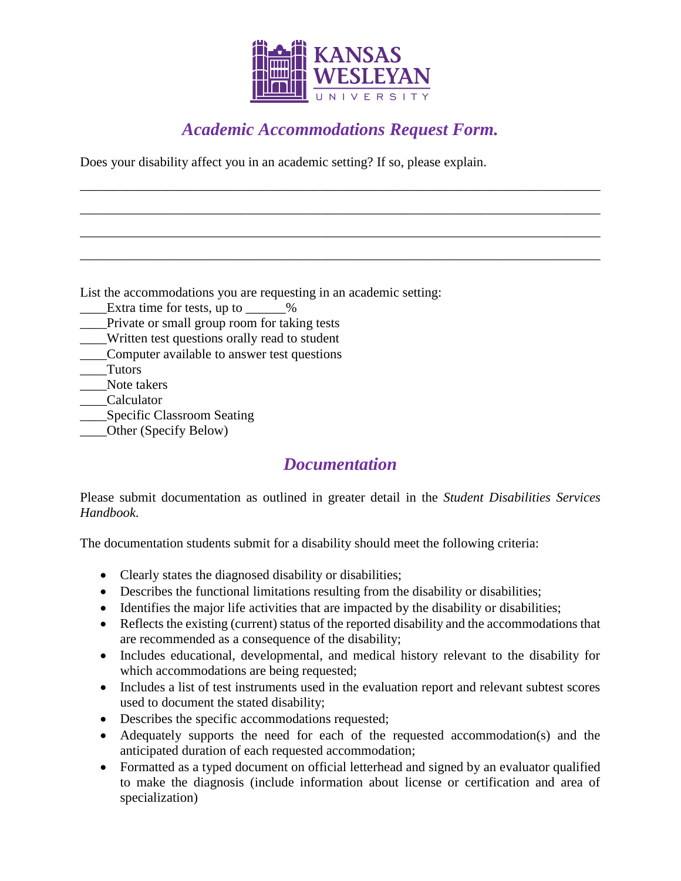

## *Academic Accommodations Request Form.*

\_\_\_\_\_\_\_\_\_\_\_\_\_\_\_\_\_\_\_\_\_\_\_\_\_\_\_\_\_\_\_\_\_\_\_\_\_\_\_\_\_\_\_\_\_\_\_\_\_\_\_\_\_\_\_\_\_\_\_\_\_\_\_\_\_\_\_\_\_\_\_\_\_\_\_\_\_\_

\_\_\_\_\_\_\_\_\_\_\_\_\_\_\_\_\_\_\_\_\_\_\_\_\_\_\_\_\_\_\_\_\_\_\_\_\_\_\_\_\_\_\_\_\_\_\_\_\_\_\_\_\_\_\_\_\_\_\_\_\_\_\_\_\_\_\_\_\_\_\_\_\_\_\_\_\_\_

\_\_\_\_\_\_\_\_\_\_\_\_\_\_\_\_\_\_\_\_\_\_\_\_\_\_\_\_\_\_\_\_\_\_\_\_\_\_\_\_\_\_\_\_\_\_\_\_\_\_\_\_\_\_\_\_\_\_\_\_\_\_\_\_\_\_\_\_\_\_\_\_\_\_\_\_\_\_

\_\_\_\_\_\_\_\_\_\_\_\_\_\_\_\_\_\_\_\_\_\_\_\_\_\_\_\_\_\_\_\_\_\_\_\_\_\_\_\_\_\_\_\_\_\_\_\_\_\_\_\_\_\_\_\_\_\_\_\_\_\_\_\_\_\_\_\_\_\_\_\_\_\_\_\_\_\_

Does your disability affect you in an academic setting? If so, please explain.

List the accommodations you are requesting in an academic setting:

- Extra time for tests, up to  $\%$
- \_\_\_\_Private or small group room for taking tests
- \_\_\_\_Written test questions orally read to student
- \_\_\_\_Computer available to answer test questions
- \_\_\_\_Tutors
- \_\_\_\_Note takers
- \_\_\_\_Calculator
- \_\_\_\_Specific Classroom Seating
- \_\_\_\_Other (Specify Below)

## *Documentation*

Please submit documentation as outlined in greater detail in the *Student Disabilities Services Handbook*.

The documentation students submit for a disability should meet the following criteria:

- Clearly states the diagnosed disability or disabilities;
- Describes the functional limitations resulting from the disability or disabilities;
- Identifies the major life activities that are impacted by the disability or disabilities;
- Reflects the existing (current) status of the reported disability and the accommodations that are recommended as a consequence of the disability;
- Includes educational, developmental, and medical history relevant to the disability for which accommodations are being requested;
- Includes a list of test instruments used in the evaluation report and relevant subtest scores used to document the stated disability;
- Describes the specific accommodations requested;
- Adequately supports the need for each of the requested accommodation(s) and the anticipated duration of each requested accommodation;
- Formatted as a typed document on official letterhead and signed by an evaluator qualified to make the diagnosis (include information about license or certification and area of specialization)